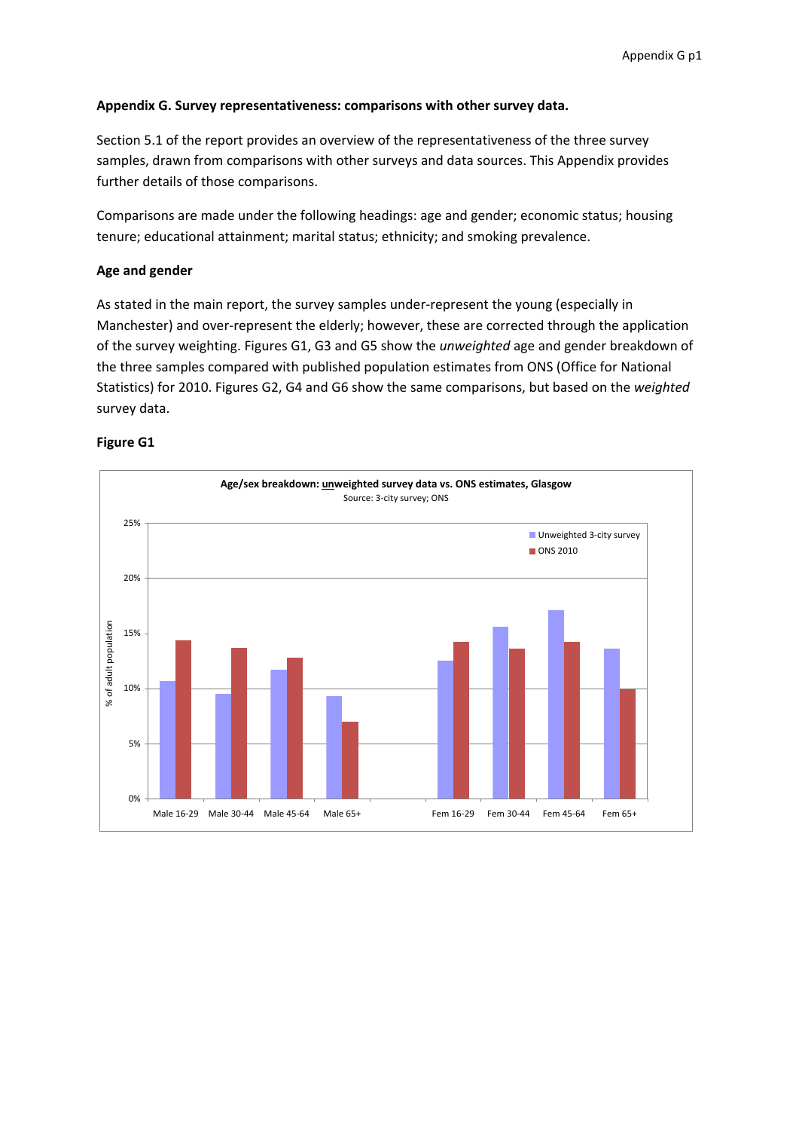## **Appendix G. Survey representativeness: comparisons with other survey data.**

Section 5.1 of the report provides an overview of the representativeness of the three survey samples, drawn from comparisons with other surveys and data sources. This Appendix provides further details of those comparisons.

Comparisons are made under the following headings: age and gender; economic status; housing tenure; educational attainment; marital status; ethnicity; and smoking prevalence.

## **Age and gender**

As stated in the main report, the survey samples under‐represent the young (especially in Manchester) and over‐represent the elderly; however, these are corrected through the application of the survey weighting. Figures G1, G3 and G5 show the *unweighted* age and gender breakdown of the three samples compared with published population estimates from ONS (Office for National Statistics) for 2010. Figures G2, G4 and G6 show the same comparisons, but based on the *weighted* survey data.

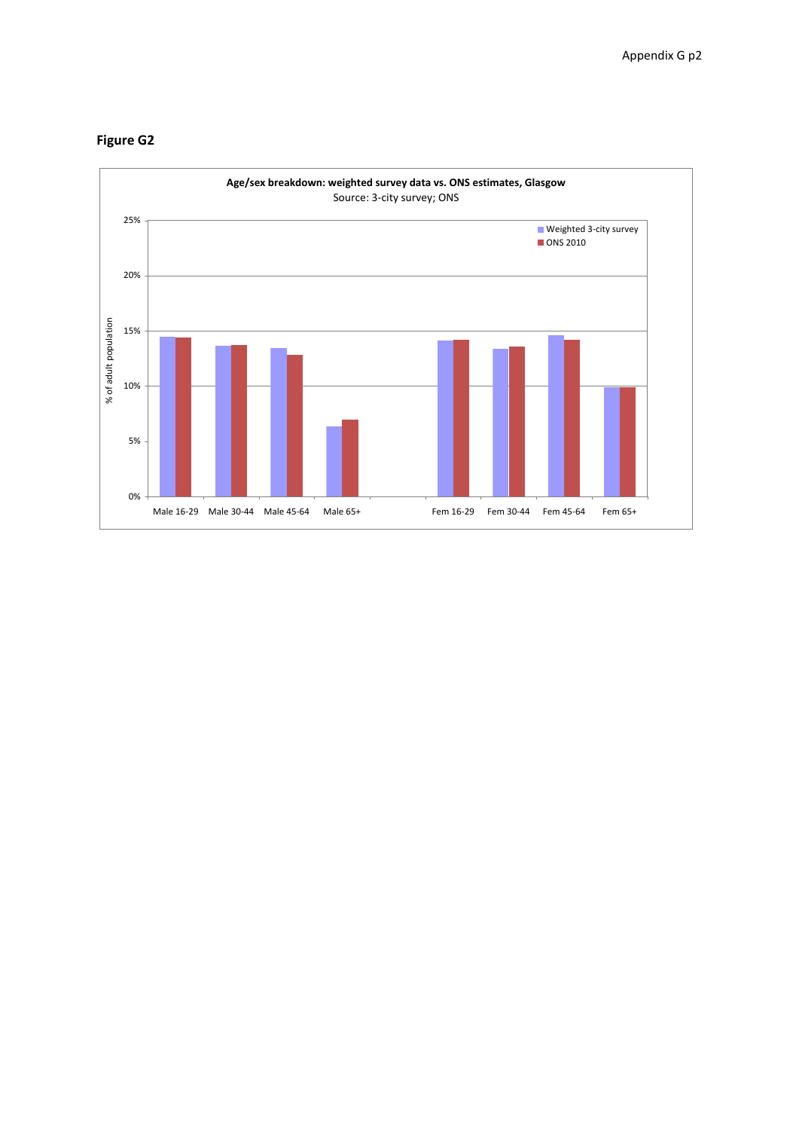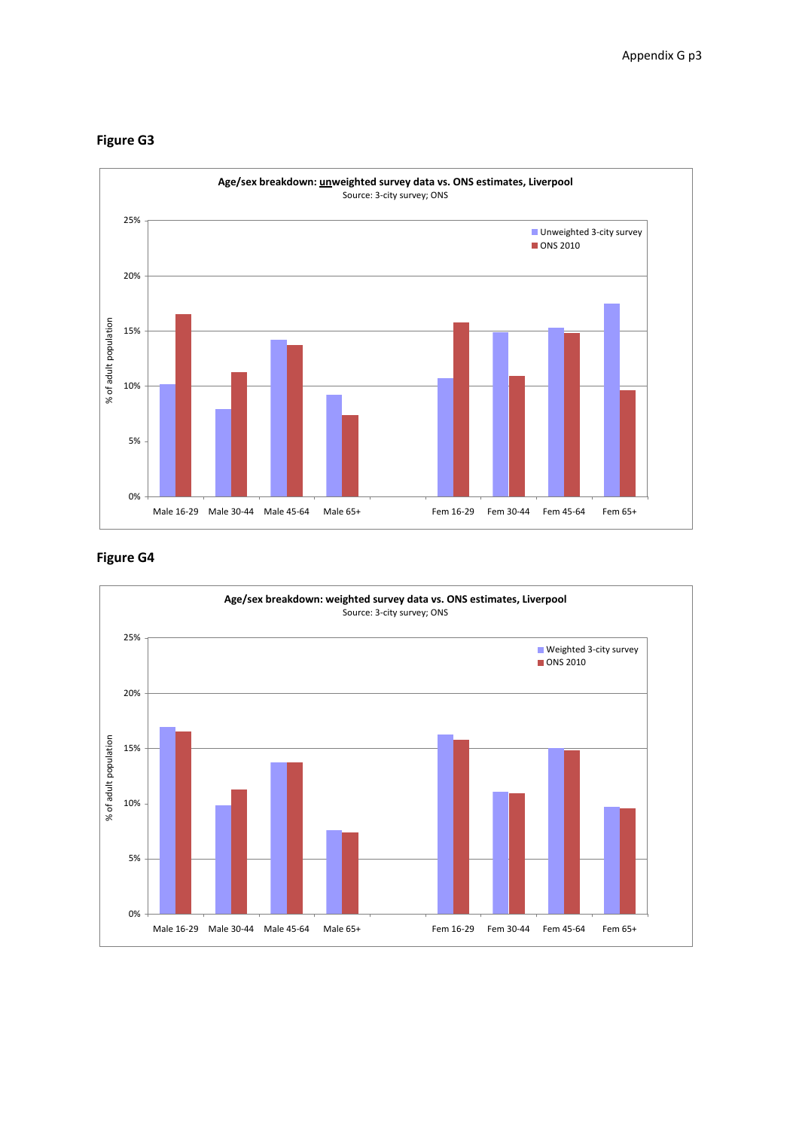

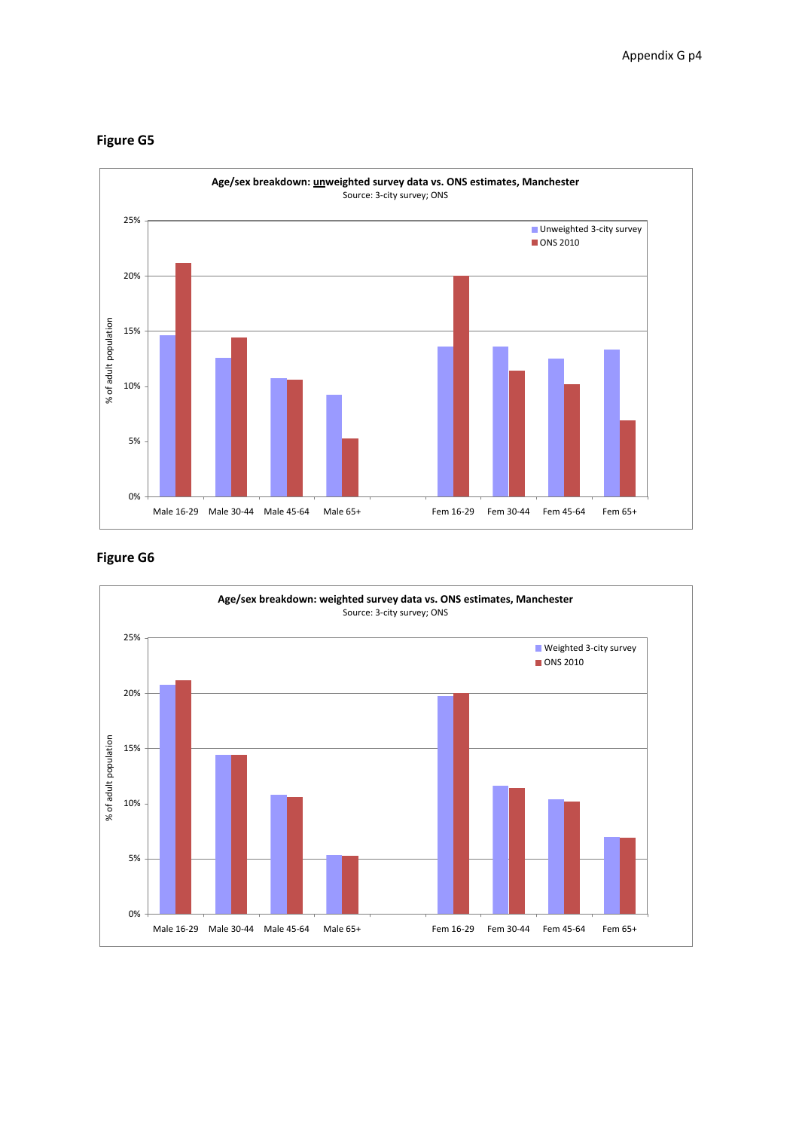

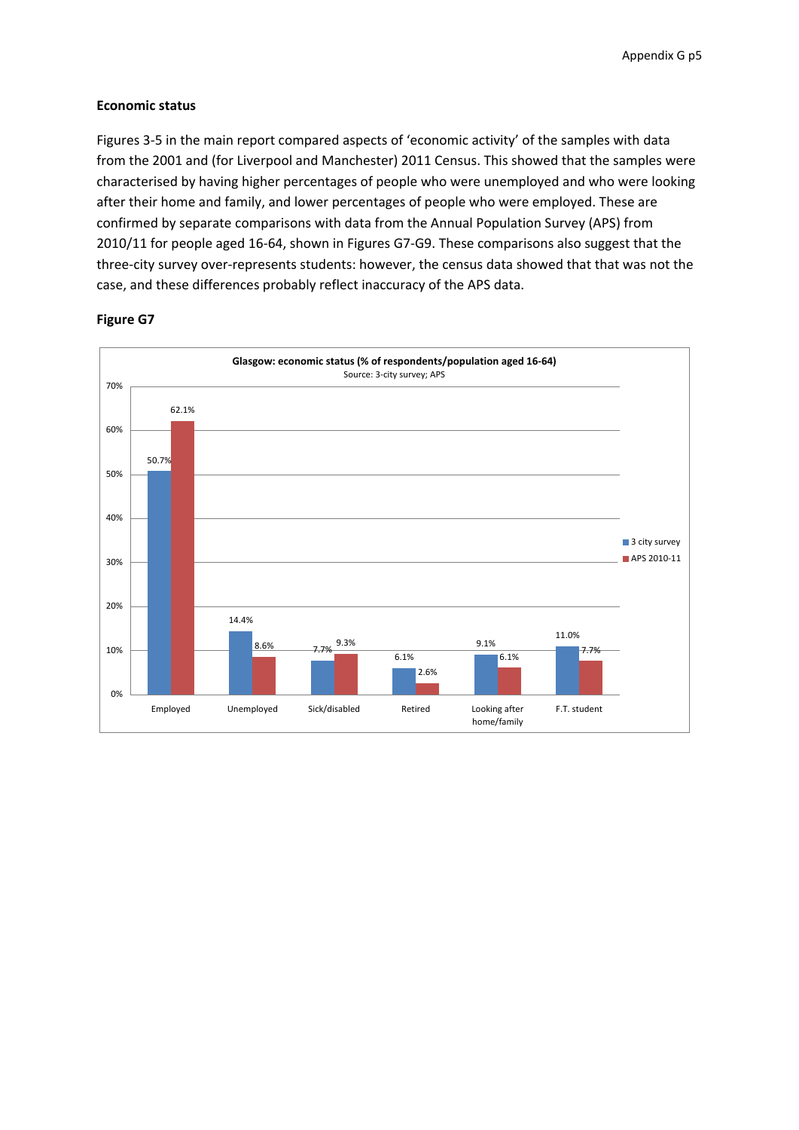#### **Economic status**

Figures 3‐5 in the main report compared aspects of 'economic activity' of the samples with data from the 2001 and (for Liverpool and Manchester) 2011 Census. This showed that the samples were characterised by having higher percentages of people who were unemployed and who were looking after their home and family, and lower percentages of people who were employed. These are confirmed by separate comparisons with data from the Annual Population Survey (APS) from 2010/11 for people aged 16‐64, shown in Figures G7‐G9. These comparisons also suggest that the three‐city survey over‐represents students: however, the census data showed that that was not the case, and these differences probably reflect inaccuracy of the APS data.

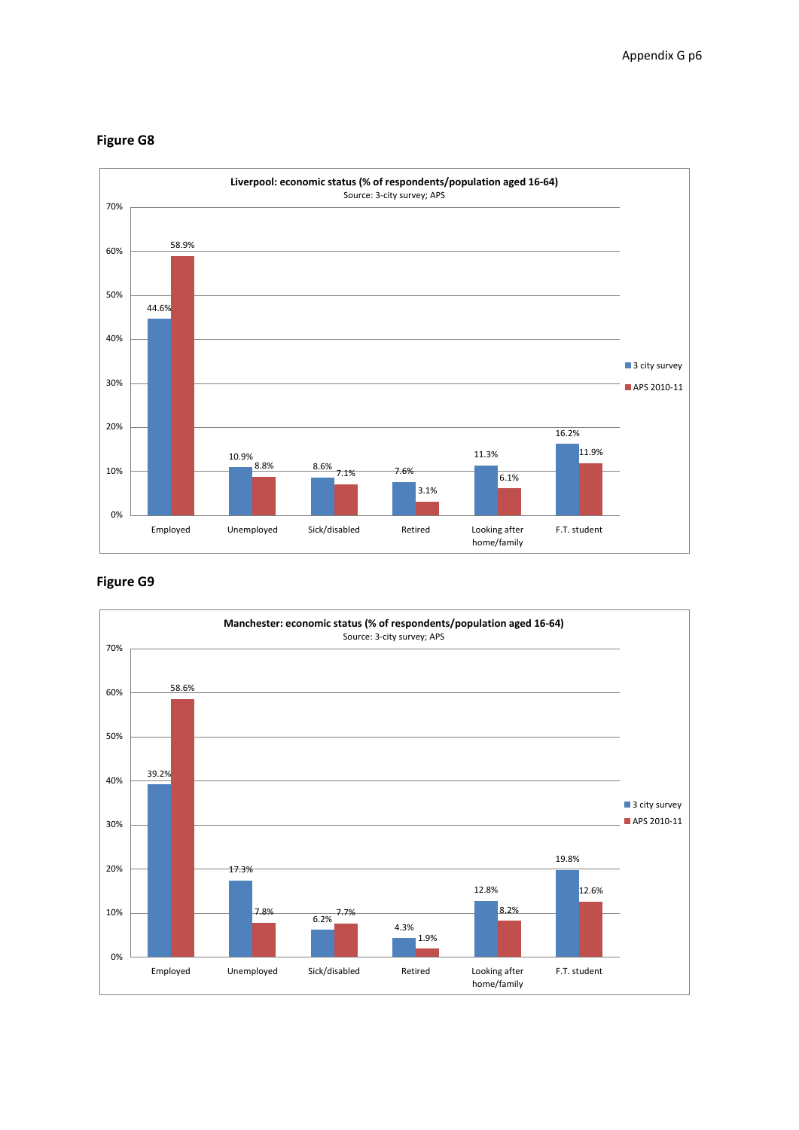

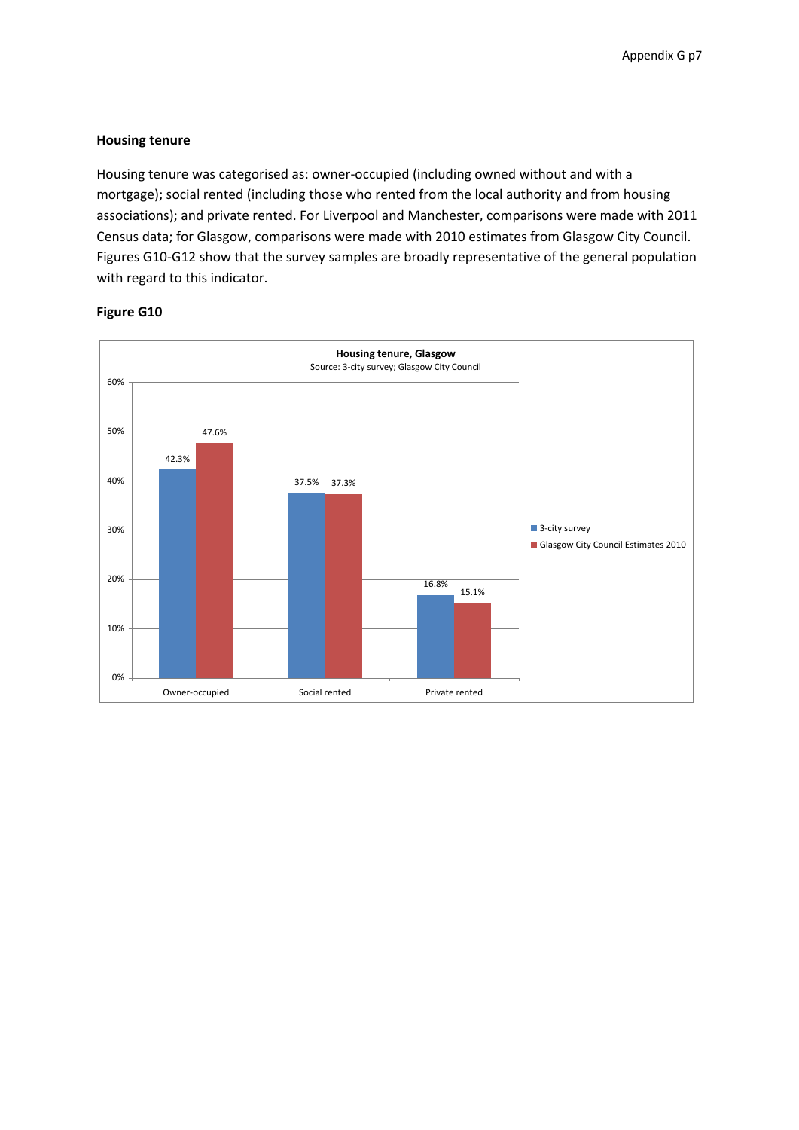#### **Housing tenure**

Housing tenure was categorised as: owner‐occupied (including owned without and with a mortgage); social rented (including those who rented from the local authority and from housing associations); and private rented. For Liverpool and Manchester, comparisons were made with 2011 Census data; for Glasgow, comparisons were made with 2010 estimates from Glasgow City Council. Figures G10‐G12 show that the survey samples are broadly representative of the general population with regard to this indicator.

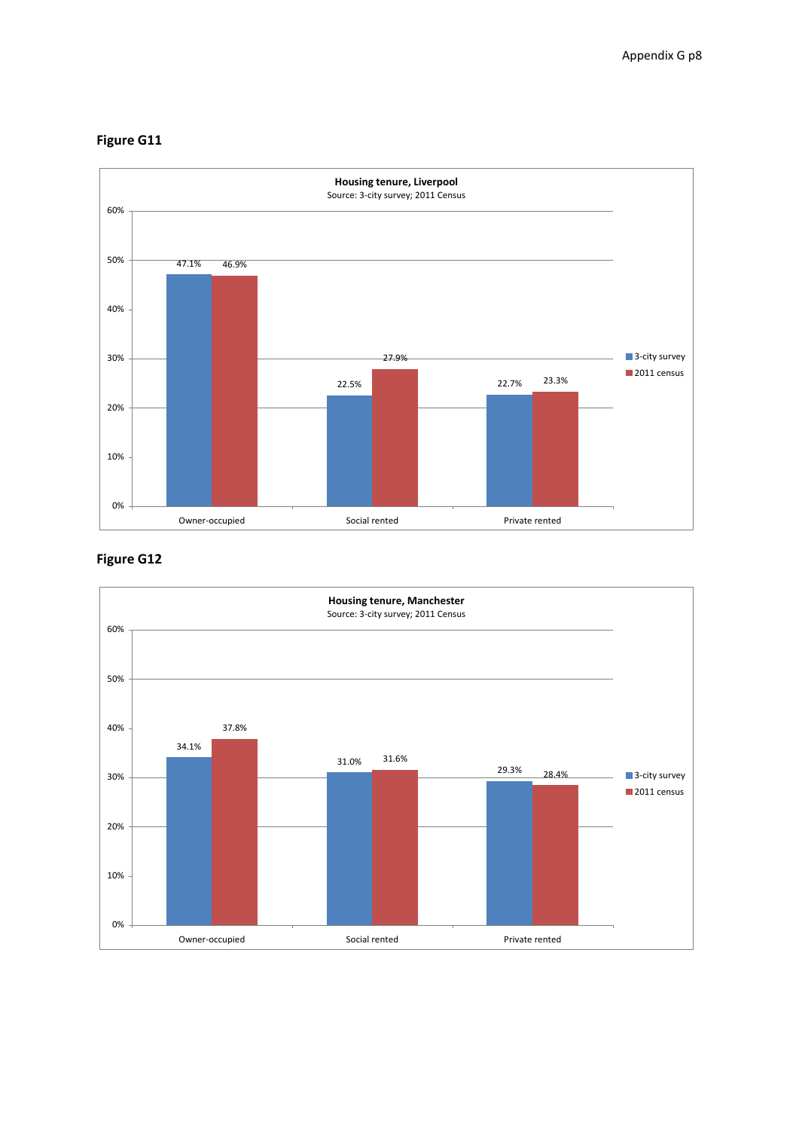



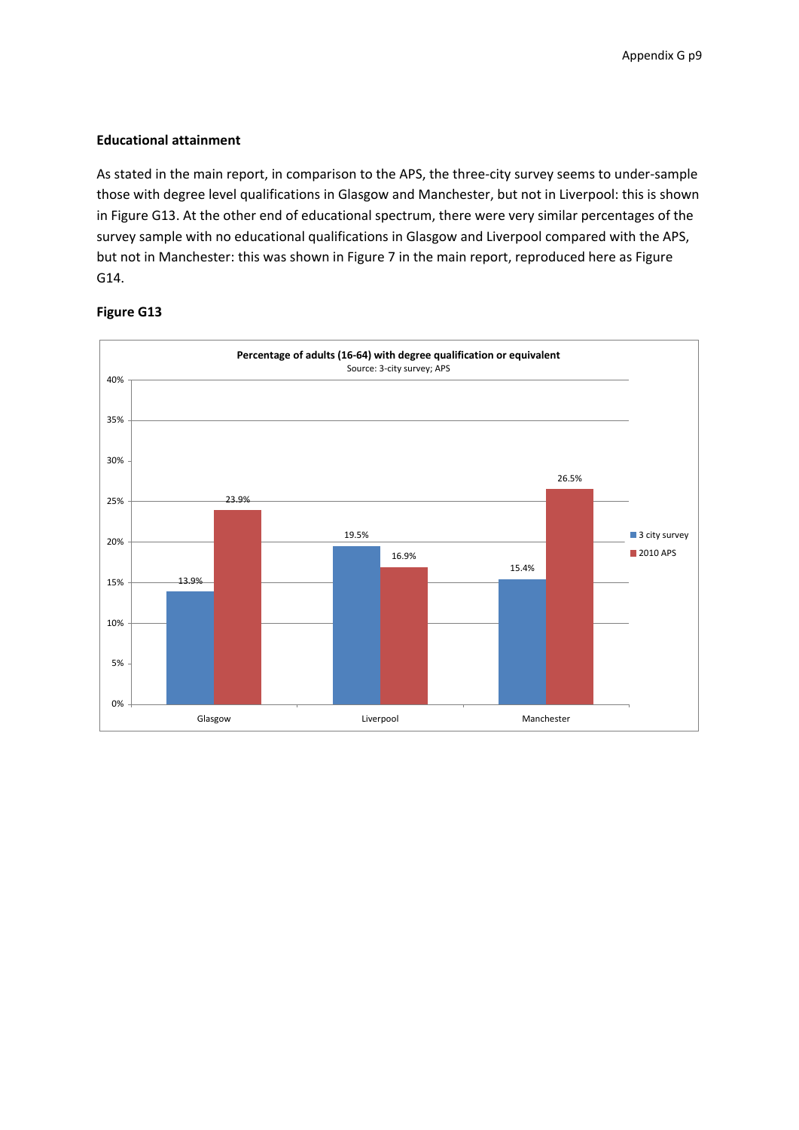#### **Educational attainment**

As stated in the main report, in comparison to the APS, the three‐city survey seems to under‐sample those with degree level qualifications in Glasgow and Manchester, but not in Liverpool: this is shown in Figure G13. At the other end of educational spectrum, there were very similar percentages of the survey sample with no educational qualifications in Glasgow and Liverpool compared with the APS, but not in Manchester: this was shown in Figure 7 in the main report, reproduced here as Figure G14.

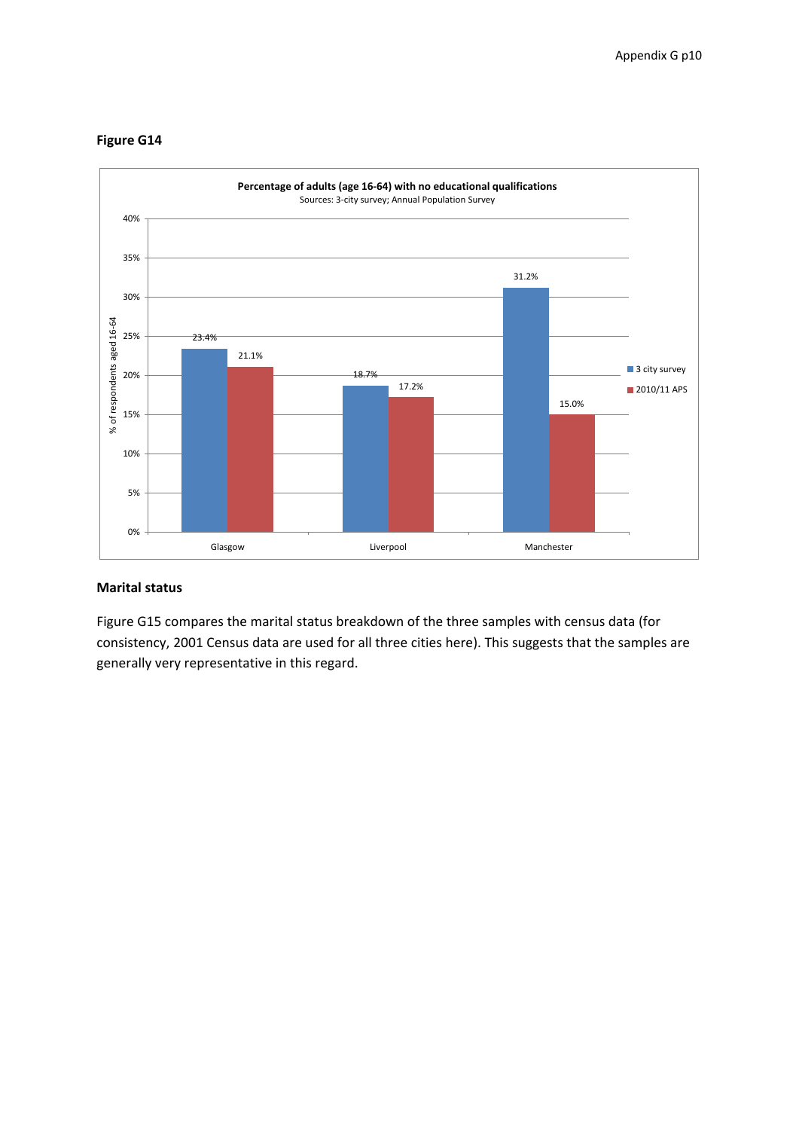



#### **Marital status**

Figure G15 compares the marital status breakdown of the three samples with census data (for consistency, 2001 Census data are used for all three cities here). This suggests that the samples are generally very representative in this regard.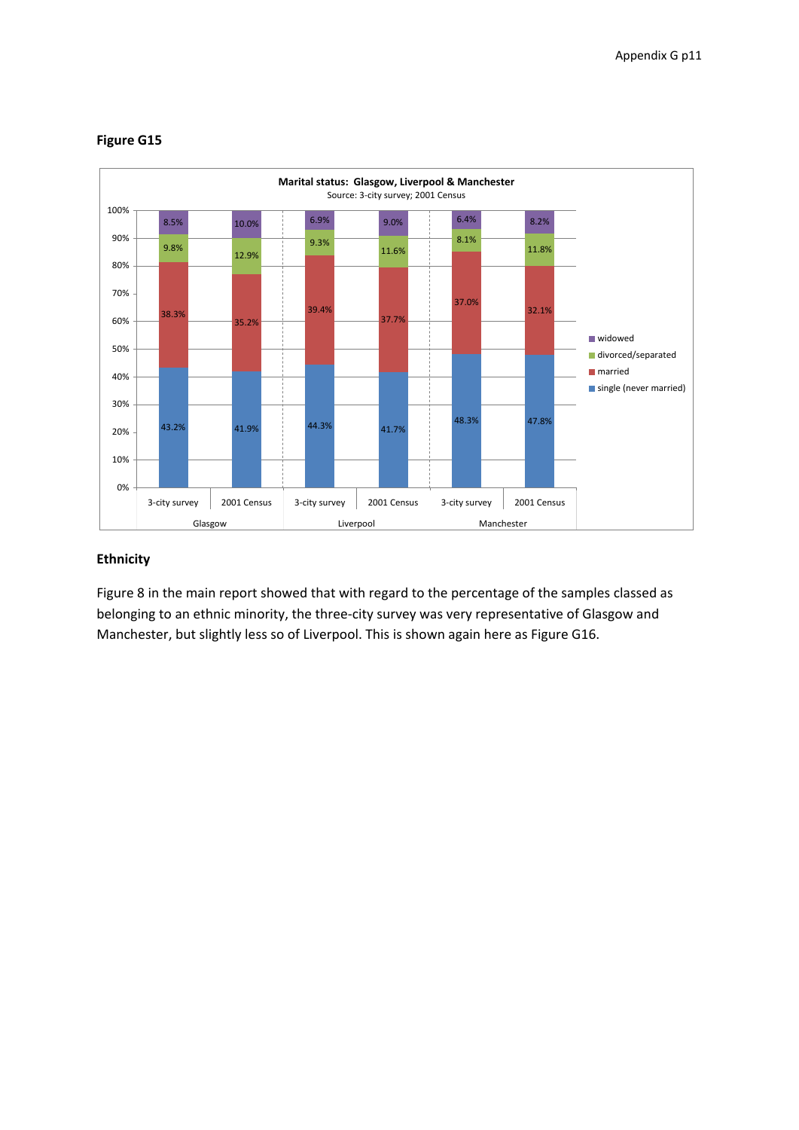

#### **Ethnicity**

Figure 8 in the main report showed that with regard to the percentage of the samples classed as belonging to an ethnic minority, the three‐city survey was very representative of Glasgow and Manchester, but slightly less so of Liverpool. This is shown again here as Figure G16.